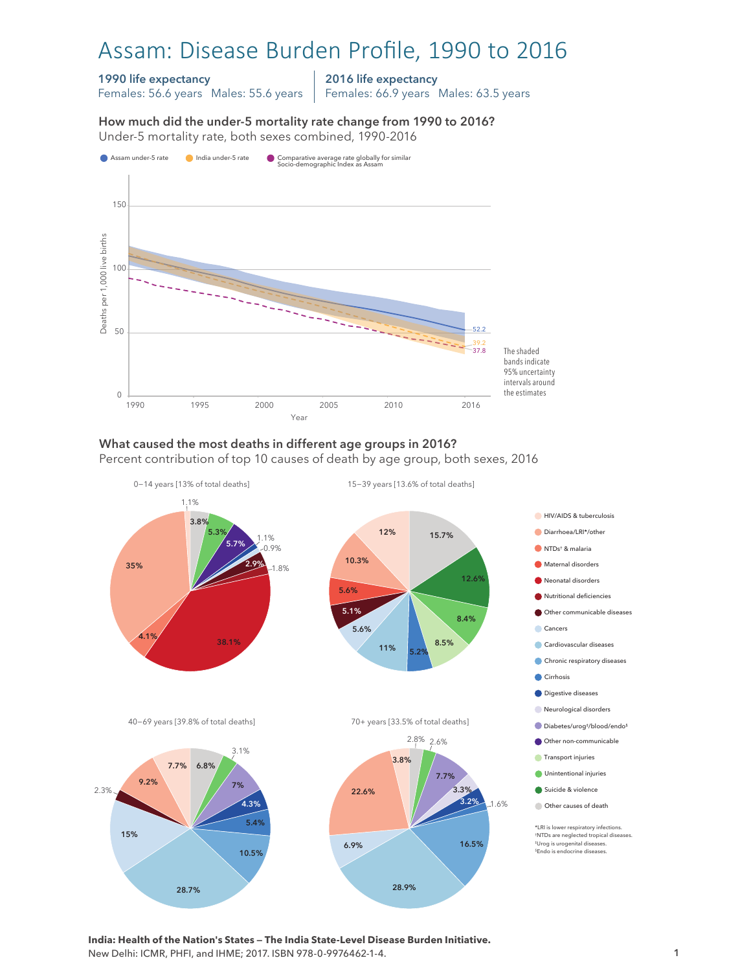# Assam: Disease Burden Profile, 1990 to 2016

### 1990 life expectancy

Females: 56.6 years Males: 55.6 years

2016 life expectancy

Females: 66.9 years Males: 63.5 years

How much did the under-5 mortality rate change from 1990 to 2016?





#### What caused the most deaths in different age groups in 2016? Percent contribution of top 10 causes of death by age group, both sexes, 2016



**India: Health of the Nation's States — The India State-Level Disease Burden Initiative.**  New Delhi: ICMR, PHFI, and IHME; 2017. ISBN 978-0-9976462-1-4.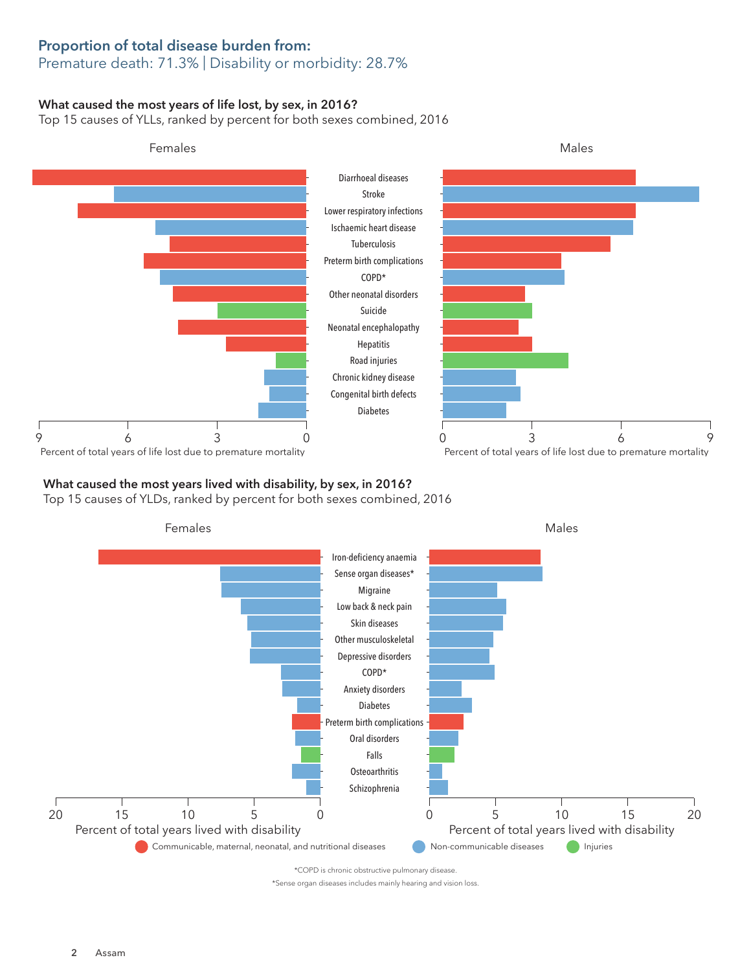## Proportion of total disease burden from:

## Premature death: 71.3% | Disability or morbidity: 28.7%

### What caused the most years of life lost, by sex, in 2016?

Top 15 causes of YLLs, ranked by percent for both sexes combined, 2016



## What caused the most years lived with disability, by sex, in 2016?

Top 15 causes of YLDs, ranked by percent for both sexes combined, 2016



\*Sense organ diseases includes mainly hearing and vision loss.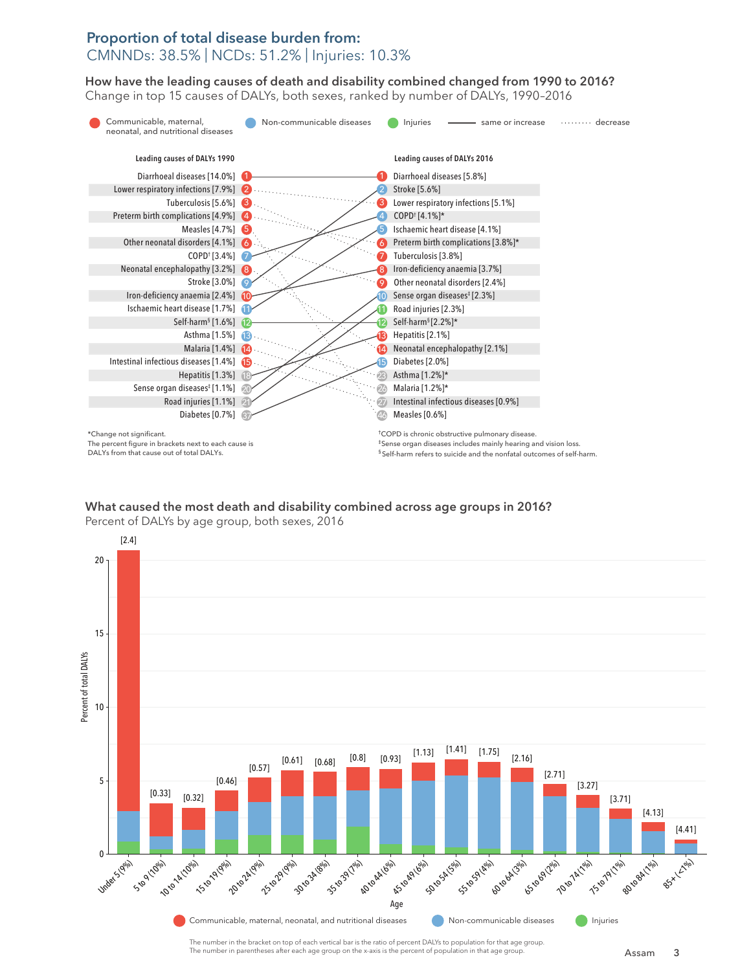## Proportion of total disease burden from: CMNNDs: 38.5% | NCDs: 51.2% | Injuries: 10.3%

How have the leading causes of death and disability combined changed from 1990 to 2016? How have the leading causes of death and disability combined changed from 1990 to 2016? Change in top 15 causes of DALYs, both sexes, ranked by number of DALYs, 1990-2016



What caused the most death and disability combined across age groups in 2016? What caused the most death and disability combined across age groups in 2016? Percent of DALYs by age group, both sexes, 2016 Percent of DALYs by age group, both sexes, 2016



The number in the bracket on top of each vertical bar is the ratio of percent DALYs to population for that age group. The number in parentheses after each age group on the x-axis is the percent of population in that age group.